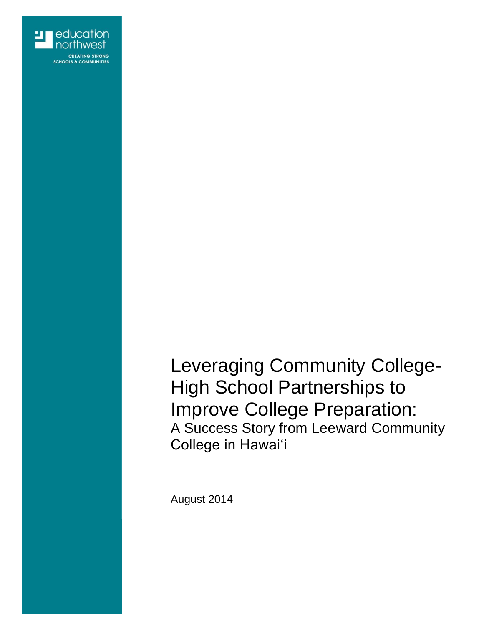

Leveraging Community College-High School Partnerships to Improve College Preparation: A Success Story from Leeward Community College in Hawaiʻi

August 2014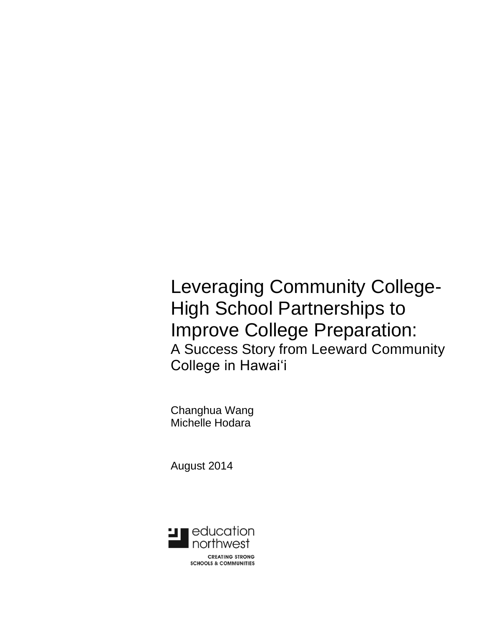Leveraging Community College-High School Partnerships to Improve College Preparation: A Success Story from Leeward Community College in Hawaiʻi

Changhua Wang Michelle Hodara

August 2014

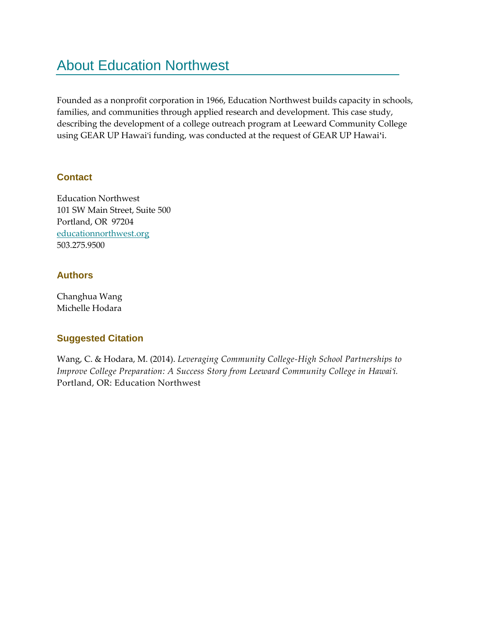## About Education Northwest

Founded as a nonprofit corporation in 1966, Education Northwest builds capacity in schools, families, and communities through applied research and development. This case study, describing the development of a college outreach program at Leeward Community College using GEAR UP Hawaiʻi funding, was conducted at the request of GEAR UP Hawai i.

### **Contact**

Education Northwest 101 SW Main Street, Suite 500 Portland, OR 97204 [educationnorthwest.org](http://www.educationnorthwest.org/) 503.275.9500

### **Authors**

Changhua Wang Michelle Hodara

## **Suggested Citation**

Wang, C. & Hodara, M. (2014). *Leveraging Community College-High School Partnerships to Improve College Preparation: A Success Story from Leeward Community College in Hawaiʻi.* Portland, OR: Education Northwest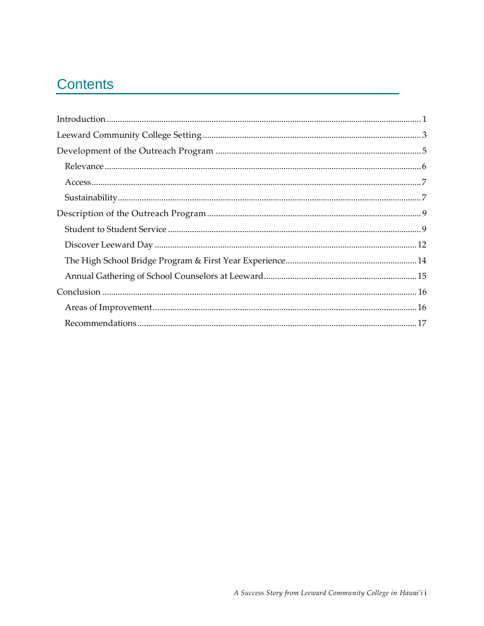## **Contents**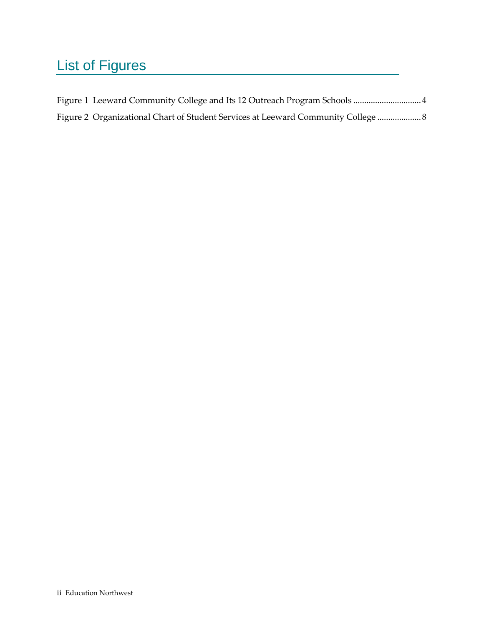# List of Figures

| Figure 2 Organizational Chart of Student Services at Leeward Community College  8 |
|-----------------------------------------------------------------------------------|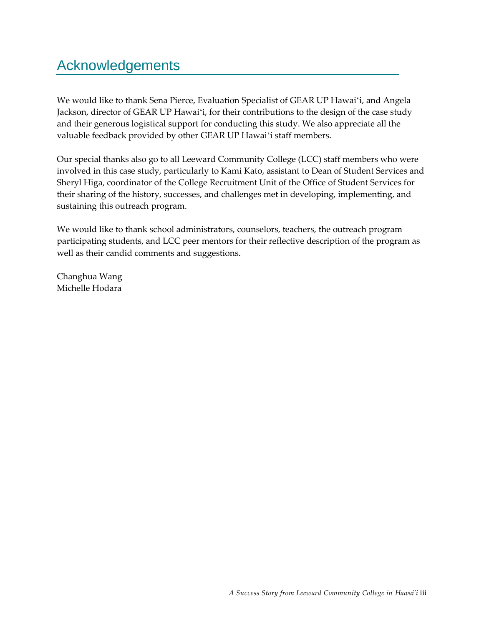## Acknowledgements

We would like to thank Sena Pierce, Evaluation Specialist of GEAR UP Hawaiʻi, and Angela Jackson, director of GEAR UP Hawaiʻi, for their contributions to the design of the case study and their generous logistical support for conducting this study. We also appreciate all the valuable feedback provided by other GEAR UP Hawaiʻi staff members.

Our special thanks also go to all Leeward Community College (LCC) staff members who were involved in this case study, particularly to Kami Kato, assistant to Dean of Student Services and Sheryl Higa, coordinator of the College Recruitment Unit of the Office of Student Services for their sharing of the history, successes, and challenges met in developing, implementing, and sustaining this outreach program.

We would like to thank school administrators, counselors, teachers, the outreach program participating students, and LCC peer mentors for their reflective description of the program as well as their candid comments and suggestions.

Changhua Wang Michelle Hodara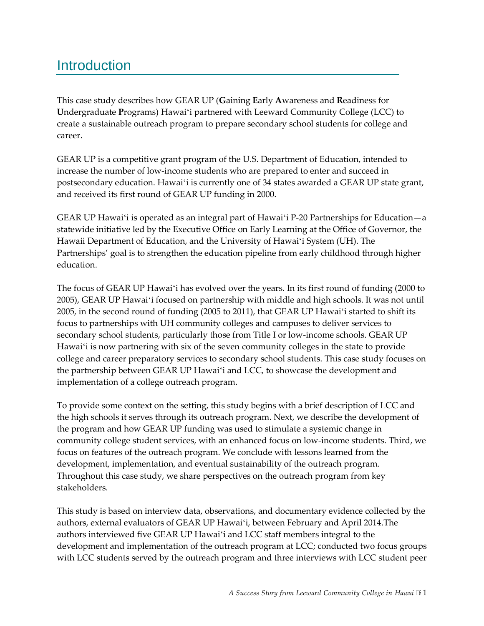## <span id="page-8-0"></span>**Introduction**

This case study describes how GEAR UP (**G**aining **E**arly **A**wareness and **R**eadiness for **U**ndergraduate **P**rograms) Hawaiʻi partnered with Leeward Community College (LCC) to create a sustainable outreach program to prepare secondary school students for college and career.

GEAR UP is a competitive grant program of the U.S. Department of Education, intended to increase the number of low-income students who are prepared to enter and succeed in postsecondary education. Hawaiʻi is currently one of 34 states awarded a GEAR UP state grant, and received its first round of GEAR UP funding in 2000.

GEAR UP Hawaiʻi is operated as an integral part of Hawaiʻi P-20 Partnerships for Education—a statewide initiative led by the Executive Office on Early Learning at the Office of Governor, the Hawaii Department of Education, and the University of Hawaiʻi System (UH). The Partnerships' goal is to strengthen the education pipeline from early childhood through higher education.

The focus of GEAR UP Hawaiʻi has evolved over the years. In its first round of funding (2000 to 2005), GEAR UP Hawaiʻi focused on partnership with middle and high schools. It was not until 2005, in the second round of funding (2005 to 2011), that GEAR UP Hawaiʻi started to shift its focus to partnerships with UH community colleges and campuses to deliver services to secondary school students, particularly those from Title I or low-income schools. GEAR UP Hawaiʻi is now partnering with six of the seven community colleges in the state to provide college and career preparatory services to secondary school students. This case study focuses on the partnership between GEAR UP Hawaiʻi and LCC, to showcase the development and implementation of a college outreach program.

To provide some context on the setting, this study begins with a brief description of LCC and the high schools it serves through its outreach program. Next, we describe the development of the program and how GEAR UP funding was used to stimulate a systemic change in community college student services, with an enhanced focus on low-income students. Third, we focus on features of the outreach program. We conclude with lessons learned from the development, implementation, and eventual sustainability of the outreach program. Throughout this case study, we share perspectives on the outreach program from key stakeholders.

This study is based on interview data, observations, and documentary evidence collected by the authors, external evaluators of GEAR UP Hawaiʻi, between February and April 2014.The authors interviewed five GEAR UP Hawaiʻi and LCC staff members integral to the development and implementation of the outreach program at LCC; conducted two focus groups with LCC students served by the outreach program and three interviews with LCC student peer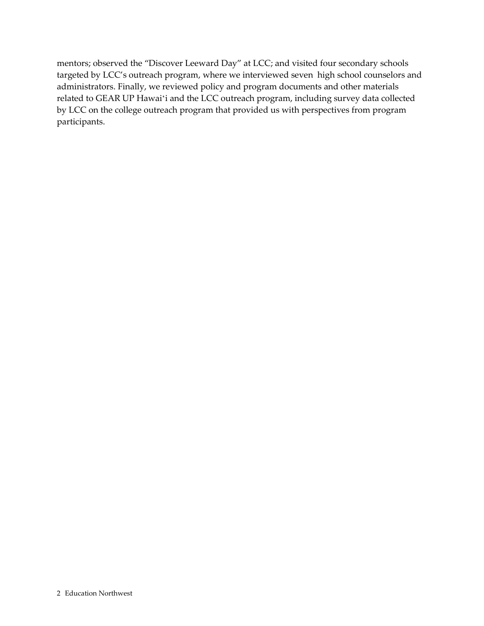mentors; observed the "Discover Leeward Day" at LCC; and visited four secondary schools targeted by LCC's outreach program, where we interviewed seven high school counselors and administrators. Finally, we reviewed policy and program documents and other materials related to GEAR UP Hawaiʻi and the LCC outreach program, including survey data collected by LCC on the college outreach program that provided us with perspectives from program participants.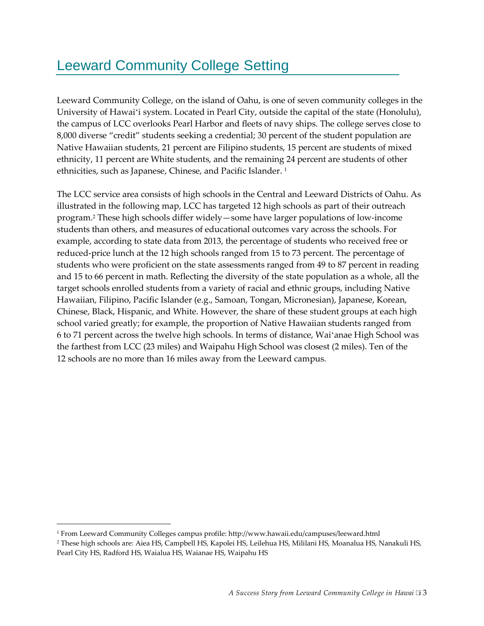# <span id="page-10-0"></span>Leeward Community College Setting

Leeward Community College, on the island of Oahu, is one of seven community colleges in the University of Hawaiʻi system. Located in Pearl City, outside the capital of the state (Honolulu), the campus of LCC overlooks Pearl Harbor and fleets of navy ships. The college serves close to 8,000 diverse "credit" students seeking a credential; 30 percent of the student population are Native Hawaiian students, 21 percent are Filipino students, 15 percent are students of mixed ethnicity, 11 percent are White students, and the remaining 24 percent are students of other ethnicities, such as Japanese, Chinese, and Pacific Islander.<sup>1</sup>

The LCC service area consists of high schools in the Central and Leeward Districts of Oahu. As illustrated in the following map, LCC has targeted 12 high schools as part of their outreach program.<sup>2</sup> These high schools differ widely—some have larger populations of low-income students than others, and measures of educational outcomes vary across the schools. For example, according to state data from 2013, the percentage of students who received free or reduced-price lunch at the 12 high schools ranged from 15 to 73 percent. The percentage of students who were proficient on the state assessments ranged from 49 to 87 percent in reading and 15 to 66 percent in math. Reflecting the diversity of the state population as a whole, all the target schools enrolled students from a variety of racial and ethnic groups, including Native Hawaiian, Filipino, Pacific Islander (e.g., Samoan, Tongan, Micronesian), Japanese, Korean, Chinese, Black, Hispanic, and White. However, the share of these student groups at each high school varied greatly; for example, the proportion of Native Hawaiian students ranged from 6 to 71 percent across the twelve high schools. In terms of distance, Waiʻanae High School was the farthest from LCC (23 miles) and Waipahu High School was closest (2 miles). Ten of the 12 schools are no more than 16 miles away from the Leeward campus.

1

<sup>1</sup> From Leeward Community Colleges campus profile: http://www.hawaii.edu/campuses/leeward.html

<sup>2</sup> These high schools are: Aiea HS, Campbell HS, Kapolei HS, Leilehua HS, Mililani HS, Moanalua HS, Nanakuli HS, Pearl City HS, Radford HS, Waialua HS, Waianae HS, Waipahu HS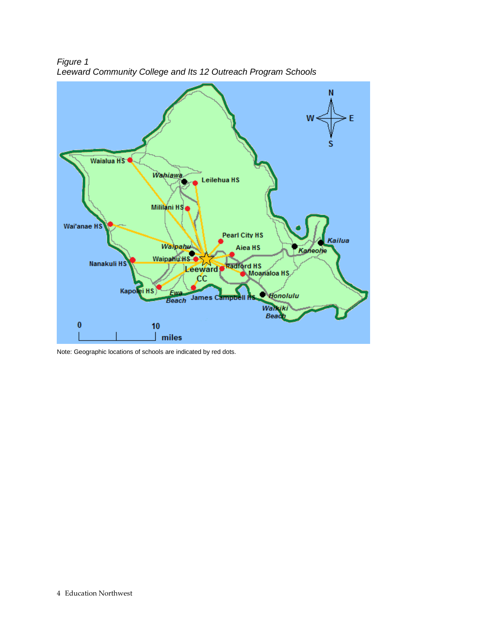

<span id="page-11-0"></span>*Figure 1 Leeward Community College and Its 12 Outreach Program Schools* 

Note: Geographic locations of schools are indicated by red dots.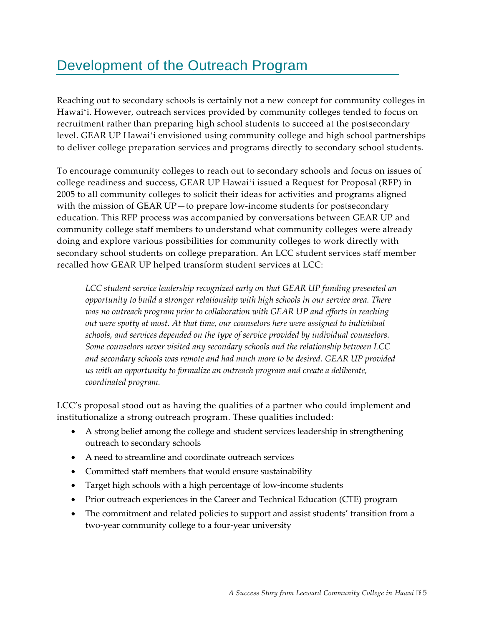## <span id="page-12-0"></span>Development of the Outreach Program

Reaching out to secondary schools is certainly not a new concept for community colleges in Hawaiʻi. However, outreach services provided by community colleges tended to focus on recruitment rather than preparing high school students to succeed at the postsecondary level. GEAR UP Hawaiʻi envisioned using community college and high school partnerships to deliver college preparation services and programs directly to secondary school students.

To encourage community colleges to reach out to secondary schools and focus on issues of college readiness and success, GEAR UP Hawaiʻi issued a Request for Proposal (RFP) in 2005 to all community colleges to solicit their ideas for activities and programs aligned with the mission of GEAR UP—to prepare low-income students for postsecondary education. This RFP process was accompanied by conversations between GEAR UP and community college staff members to understand what community colleges were already doing and explore various possibilities for community colleges to work directly with secondary school students on college preparation. An LCC student services staff member recalled how GEAR UP helped transform student services at LCC:

*LCC student service leadership recognized early on that GEAR UP funding presented an opportunity to build a stronger relationship with high schools in our service area. There was no outreach program prior to collaboration with GEAR UP and efforts in reaching out were spotty at most. At that time, our counselors here were assigned to individual schools, and services depended on the type of service provided by individual counselors. Some counselors never visited any secondary schools and the relationship between LCC and secondary schools was remote and had much more to be desired. GEAR UP provided us with an opportunity to formalize an outreach program and create a deliberate, coordinated program.* 

LCC's proposal stood out as having the qualities of a partner who could implement and institutionalize a strong outreach program. These qualities included:

- A strong belief among the college and student services leadership in strengthening outreach to secondary schools
- A need to streamline and coordinate outreach services
- Committed staff members that would ensure sustainability
- Target high schools with a high percentage of low-income students
- Prior outreach experiences in the Career and Technical Education (CTE) program
- The commitment and related policies to support and assist students' transition from a two-year community college to a four-year university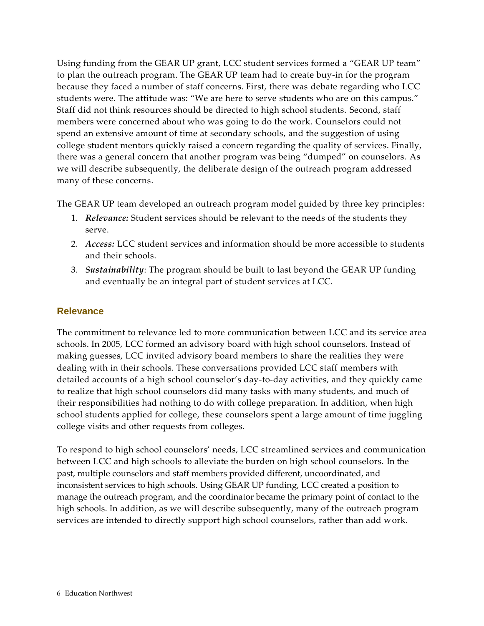Using funding from the GEAR UP grant, LCC student services formed a "GEAR UP team" to plan the outreach program. The GEAR UP team had to create buy-in for the program because they faced a number of staff concerns. First, there was debate regarding who LCC students were. The attitude was: "We are here to serve students who are on this campus." Staff did not think resources should be directed to high school students. Second, staff members were concerned about who was going to do the work. Counselors could not spend an extensive amount of time at secondary schools, and the suggestion of using college student mentors quickly raised a concern regarding the quality of services. Finally, there was a general concern that another program was being "dumped" on counselors. As we will describe subsequently, the deliberate design of the outreach program addressed many of these concerns.

The GEAR UP team developed an outreach program model guided by three key principles:

- 1. *Relevance:* Student services should be relevant to the needs of the students they serve.
- 2. *Access:* LCC student services and information should be more accessible to students and their schools.
- 3. *Sustainability*: The program should be built to last beyond the GEAR UP funding and eventually be an integral part of student services at LCC.

#### <span id="page-13-0"></span>**Relevance**

The commitment to relevance led to more communication between LCC and its service area schools. In 2005, LCC formed an advisory board with high school counselors. Instead of making guesses, LCC invited advisory board members to share the realities they were dealing with in their schools. These conversations provided LCC staff members with detailed accounts of a high school counselor's day-to-day activities, and they quickly came to realize that high school counselors did many tasks with many students, and much of their responsibilities had nothing to do with college preparation. In addition, when high school students applied for college, these counselors spent a large amount of time juggling college visits and other requests from colleges.

To respond to high school counselors' needs, LCC streamlined services and communication between LCC and high schools to alleviate the burden on high school counselors. In the past, multiple counselors and staff members provided different, uncoordinated, and inconsistent services to high schools. Using GEAR UP funding, LCC created a position to manage the outreach program, and the coordinator became the primary point of contact to the high schools. In addition, as we will describe subsequently, many of the outreach program services are intended to directly support high school counselors, rather than add work.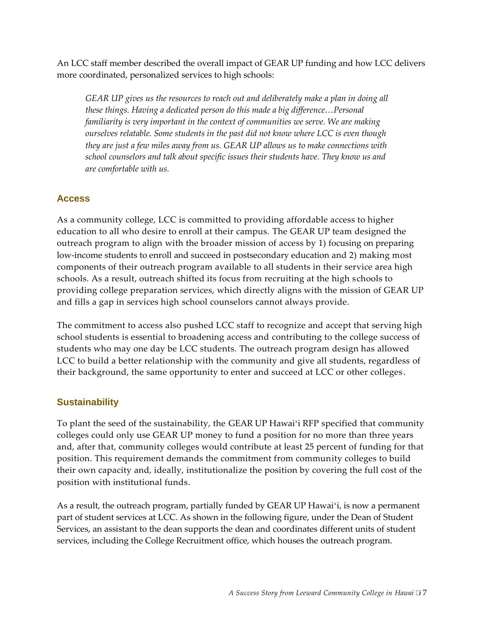An LCC staff member described the overall impact of GEAR UP funding and how LCC delivers more coordinated, personalized services to high schools:

*GEAR UP gives us the resources to reach out and deliberately make a plan in doing all these things. Having a dedicated person do this made a big difference…Personal familiarity is very important in the context of communities we serve. We are making ourselves relatable. Some students in the past did not know where LCC is even though they are just a few miles away from us. GEAR UP allows us to make connections with school counselors and talk about specific issues their students have. They know us and are comfortable with us.*

### <span id="page-14-0"></span>**Access**

As a community college, LCC is committed to providing affordable access to higher education to all who desire to enroll at their campus. The GEAR UP team designed the outreach program to align with the broader mission of access by 1) focusing on preparing low-income students to enroll and succeed in postsecondary education and 2) making most components of their outreach program available to all students in their service area high schools. As a result, outreach shifted its focus from recruiting at the high schools to providing college preparation services, which directly aligns with the mission of GEAR UP and fills a gap in services high school counselors cannot always provide.

The commitment to access also pushed LCC staff to recognize and accept that serving high school students is essential to broadening access and contributing to the college success of students who may one day be LCC students. The outreach program design has allowed LCC to build a better relationship with the community and give all students, regardless of their background, the same opportunity to enter and succeed at LCC or other colleges .

### <span id="page-14-1"></span>**Sustainability**

To plant the seed of the sustainability, the GEAR UP Hawaiʻi RFP specified that community colleges could only use GEAR UP money to fund a position for no more than three years and, after that, community colleges would contribute at least 25 percent of funding for that position. This requirement demands the commitment from community colleges to build their own capacity and, ideally, institutionalize the position by covering the full cost of the position with institutional funds.

As a result, the outreach program, partially funded by GEAR UP Hawaiʻi, is now a permanent part of student services at LCC. As shown in the following figure, under the Dean of Student Services, an assistant to the dean supports the dean and coordinates different units of student services, including the College Recruitment office, which houses the outreach program.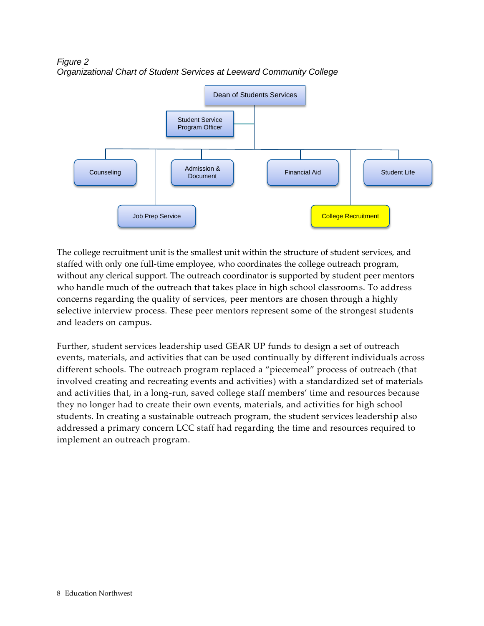

<span id="page-15-0"></span>*Figure 2 Organizational Chart of Student Services at Leeward Community College*

The college recruitment unit is the smallest unit within the structure of student services, and staffed with only one full-time employee, who coordinates the college outreach program, without any clerical support. The outreach coordinator is supported by student peer mentors who handle much of the outreach that takes place in high school classrooms. To address concerns regarding the quality of services, peer mentors are chosen through a highly selective interview process. These peer mentors represent some of the strongest students and leaders on campus.

Further, student services leadership used GEAR UP funds to design a set of outreach events, materials, and activities that can be used continually by different individuals across different schools. The outreach program replaced a "piecemeal" process of outreach (that involved creating and recreating events and activities) with a standardized set of materials and activities that, in a long-run, saved college staff members' time and resources because they no longer had to create their own events, materials, and activities for high school students. In creating a sustainable outreach program, the student services leadership also addressed a primary concern LCC staff had regarding the time and resources required to implement an outreach program.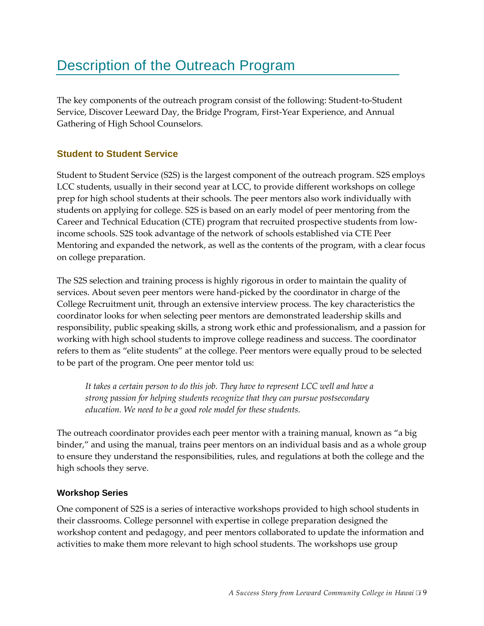## <span id="page-16-0"></span>Description of the Outreach Program

The key components of the outreach program consist of the following: Student-to-Student Service, Discover Leeward Day, the Bridge Program, First-Year Experience, and Annual Gathering of High School Counselors.

### <span id="page-16-1"></span>**Student to Student Service**

Student to Student Service (S2S) is the largest component of the outreach program. S2S employs LCC students, usually in their second year at LCC, to provide different workshops on college prep for high school students at their schools. The peer mentors also work individually with students on applying for college. S2S is based on an early model of peer mentoring from the Career and Technical Education (CTE) program that recruited prospective students from lowincome schools. S2S took advantage of the network of schools established via CTE Peer Mentoring and expanded the network, as well as the contents of the program, with a clear focus on college preparation.

The S2S selection and training process is highly rigorous in order to maintain the quality of services. About seven peer mentors were hand-picked by the coordinator in charge of the College Recruitment unit, through an extensive interview process. The key characteristics the coordinator looks for when selecting peer mentors are demonstrated leadership skills and responsibility, public speaking skills, a strong work ethic and professionalism, and a passion for working with high school students to improve college readiness and success. The coordinator refers to them as "elite students" at the college. Peer mentors were equally proud to be selected to be part of the program. One peer mentor told us:

*It takes a certain person to do this job. They have to represent LCC well and have a strong passion for helping students recognize that they can pursue postsecondary education. We need to be a good role model for these students.* 

The outreach coordinator provides each peer mentor with a training manual, known as "a big binder," and using the manual, trains peer mentors on an individual basis and as a whole group to ensure they understand the responsibilities, rules, and regulations at both the college and the high schools they serve.

#### **Workshop Series**

One component of S2S is a series of interactive workshops provided to high school students in their classrooms. College personnel with expertise in college preparation designed the workshop content and pedagogy, and peer mentors collaborated to update the information and activities to make them more relevant to high school students. The workshops use group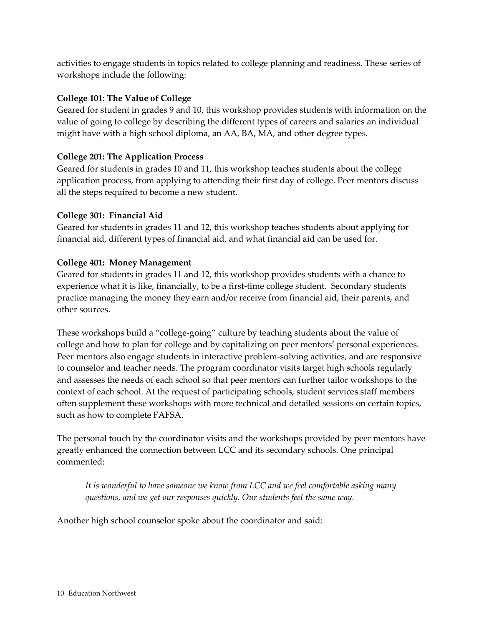activities to engage students in topics related to college planning and readiness. These series of workshops include the following:

#### **College 101**: **The Value of College**

Geared for student in grades 9 and 10, this workshop provides students with information on the value of going to college by describing the different types of careers and salaries an individual might have with a high school diploma, an AA, BA, MA, and other degree types.

#### **College 201: The Application Process**

Geared for students in grades 10 and 11, this workshop teaches students about the college application process, from applying to attending their first day of college. Peer mentors discuss all the steps required to become a new student.

#### **College 301: Financial Aid**

Geared for students in grades 11 and 12, this workshop teaches students about applying for financial aid, different types of financial aid, and what financial aid can be used for.

#### **College 401: Money Management**

Geared for students in grades 11 and 12, this workshop provides students with a chance to experience what it is like, financially, to be a first-time college student. Secondary students practice managing the money they earn and/or receive from financial aid, their parents, and other sources.

These workshops build a "college-going" culture by teaching students about the value of college and how to plan for college and by capitalizing on peer mentors' personal experiences. Peer mentors also engage students in interactive problem-solving activities, and are responsive to counselor and teacher needs. The program coordinator visits target high schools regularly and assesses the needs of each school so that peer mentors can further tailor workshops to the context of each school. At the request of participating schools, student services staff members often supplement these workshops with more technical and detailed sessions on certain topics, such as how to complete FAFSA.

The personal touch by the coordinator visits and the workshops provided by peer mentors have greatly enhanced the connection between LCC and its secondary schools. One principal commented:

*It is wonderful to have someone we know from LCC and we feel comfortable asking many questions, and we get our responses quickly. Our students feel the same way.* 

Another high school counselor spoke about the coordinator and said: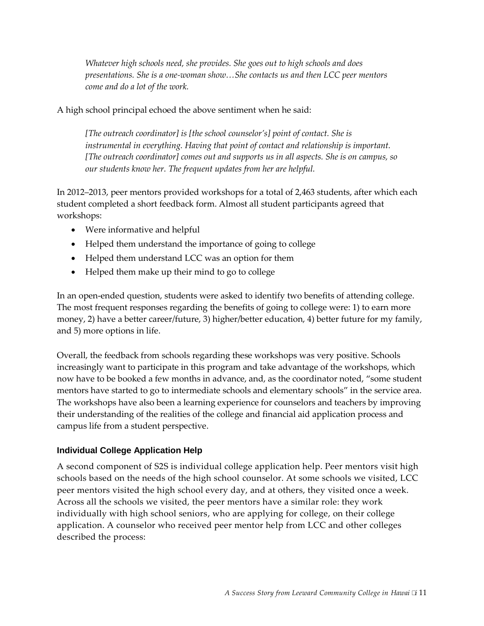*Whatever high schools need, she provides. She goes out to high schools and does presentations. She is a one-woman show…She contacts us and then LCC peer mentors come and do a lot of the work.*

A high school principal echoed the above sentiment when he said:

*[The outreach coordinator] is [the school counselor's] point of contact. She is instrumental in everything. Having that point of contact and relationship is important. [The outreach coordinator] comes out and supports us in all aspects. She is on campus, so our students know her. The frequent updates from her are helpful.*

In 2012–2013, peer mentors provided workshops for a total of 2,463 students, after which each student completed a short feedback form. Almost all student participants agreed that workshops:

- Were informative and helpful
- Helped them understand the importance of going to college
- Helped them understand LCC was an option for them
- Helped them make up their mind to go to college

In an open-ended question, students were asked to identify two benefits of attending college. The most frequent responses regarding the benefits of going to college were: 1) to earn more money, 2) have a better career/future, 3) higher/better education, 4) better future for my family, and 5) more options in life.

Overall, the feedback from schools regarding these workshops was very positive. Schools increasingly want to participate in this program and take advantage of the workshops, which now have to be booked a few months in advance, and, as the coordinator noted, "some student mentors have started to go to intermediate schools and elementary schools" in the service area. The workshops have also been a learning experience for counselors and teachers by improving their understanding of the realities of the college and financial aid application process and campus life from a student perspective.

#### **Individual College Application Help**

A second component of S2S is individual college application help. Peer mentors visit high schools based on the needs of the high school counselor. At some schools we visited, LCC peer mentors visited the high school every day, and at others, they visited once a week. Across all the schools we visited, the peer mentors have a similar role: they work individually with high school seniors, who are applying for college, on their college application. A counselor who received peer mentor help from LCC and other colleges described the process: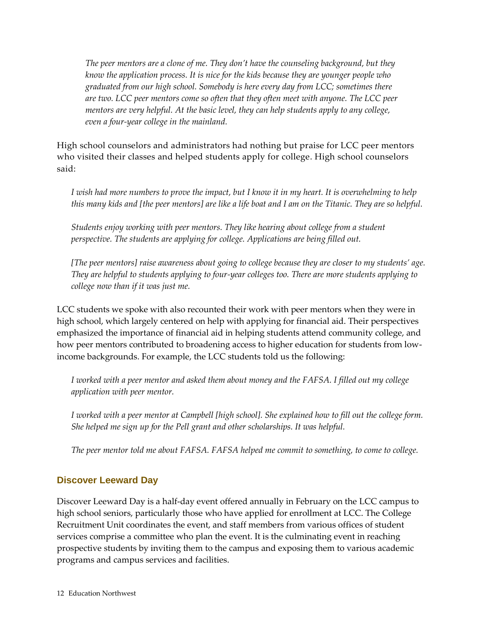*The peer mentors are a clone of me. They don't have the counseling background, but they know the application process. It is nice for the kids because they are younger people who graduated from our high school. Somebody is here every day from LCC; sometimes there are two. LCC peer mentors come so often that they often meet with anyone. The LCC peer mentors are very helpful. At the basic level, they can help students apply to any college, even a four-year college in the mainland.* 

High school counselors and administrators had nothing but praise for LCC peer mentors who visited their classes and helped students apply for college. High school counselors said:

*I wish had more numbers to prove the impact, but I know it in my heart. It is overwhelming to help this many kids and [the peer mentors] are like a life boat and I am on the Titanic. They are so helpful.*

*Students enjoy working with peer mentors. They like hearing about college from a student perspective. The students are applying for college. Applications are being filled out.* 

*[The peer mentors] raise awareness about going to college because they are closer to my students' age. They are helpful to students applying to four-year colleges too. There are more students applying to college now than if it was just me.*

LCC students we spoke with also recounted their work with peer mentors when they were in high school, which largely centered on help with applying for financial aid. Their perspectives emphasized the importance of financial aid in helping students attend community college, and how peer mentors contributed to broadening access to higher education for students from lowincome backgrounds. For example, the LCC students told us the following:

*I worked with a peer mentor and asked them about money and the FAFSA. I filled out my college application with peer mentor.*

*I worked with a peer mentor at Campbell [high school]. She explained how to fill out the college form. She helped me sign up for the Pell grant and other scholarships. It was helpful.*

*The peer mentor told me about FAFSA. FAFSA helped me commit to something, to come to college.*

#### <span id="page-19-0"></span>**Discover Leeward Day**

Discover Leeward Day is a half-day event offered annually in February on the LCC campus to high school seniors, particularly those who have applied for enrollment at LCC. The College Recruitment Unit coordinates the event, and staff members from various offices of student services comprise a committee who plan the event. It is the culminating event in reaching prospective students by inviting them to the campus and exposing them to various academic programs and campus services and facilities.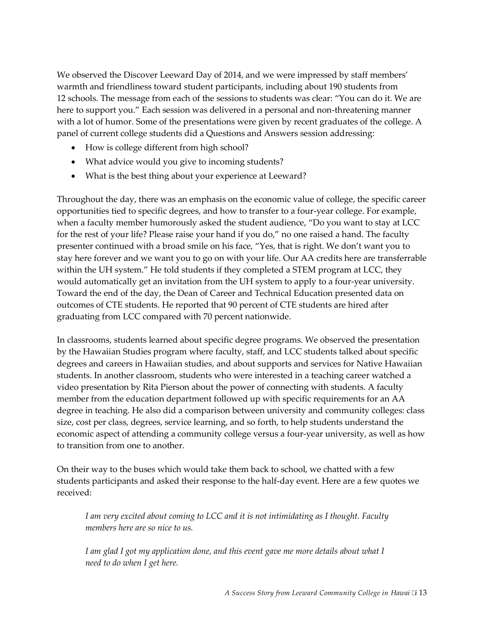We observed the Discover Leeward Day of 2014, and we were impressed by staff members' warmth and friendliness toward student participants, including about 190 students from 12 schools. The message from each of the sessions to students was clear: "You can do it. We are here to support you." Each session was delivered in a personal and non-threatening manner with a lot of humor. Some of the presentations were given by recent graduates of the college. A panel of current college students did a Questions and Answers session addressing:

- How is college different from high school?
- What advice would you give to incoming students?
- What is the best thing about your experience at Leeward?

Throughout the day, there was an emphasis on the economic value of college, the specific career opportunities tied to specific degrees, and how to transfer to a four-year college. For example, when a faculty member humorously asked the student audience, "Do you want to stay at LCC for the rest of your life? Please raise your hand if you do," no one raised a hand. The faculty presenter continued with a broad smile on his face, "Yes, that is right. We don't want you to stay here forever and we want you to go on with your life. Our AA credits here are transferrable within the UH system." He told students if they completed a STEM program at LCC, they would automatically get an invitation from the UH system to apply to a four-year university. Toward the end of the day, the Dean of Career and Technical Education presented data on outcomes of CTE students. He reported that 90 percent of CTE students are hired after graduating from LCC compared with 70 percent nationwide.

In classrooms, students learned about specific degree programs. We observed the presentation by the Hawaiian Studies program where faculty, staff, and LCC students talked about specific degrees and careers in Hawaiian studies, and about supports and services for Native Hawaiian students. In another classroom, students who were interested in a teaching career watched a video presentation by Rita Pierson about the power of connecting with students. A faculty member from the education department followed up with specific requirements for an AA degree in teaching. He also did a comparison between university and community colleges: class size, cost per class, degrees, service learning, and so forth, to help students understand the economic aspect of attending a community college versus a four-year university, as well as how to transition from one to another.

On their way to the buses which would take them back to school, we chatted with a few students participants and asked their response to the half-day event. Here are a few quotes we received:

*I am very excited about coming to LCC and it is not intimidating as I thought. Faculty members here are so nice to us.* 

*I am glad I got my application done, and this event gave me more details about what I need to do when I get here.*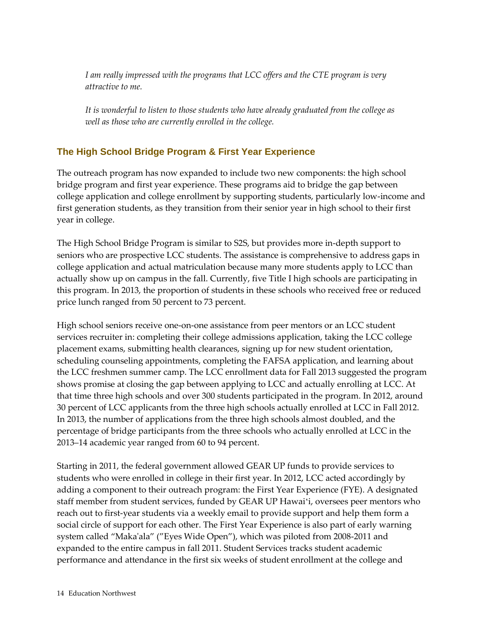*I am really impressed with the programs that LCC offers and the CTE program is very attractive to me.* 

*It is wonderful to listen to those students who have already graduated from the college as well as those who are currently enrolled in the college.* 

## <span id="page-21-0"></span>**The High School Bridge Program & First Year Experience**

The outreach program has now expanded to include two new components: the high school bridge program and first year experience. These programs aid to bridge the gap between college application and college enrollment by supporting students, particularly low-income and first generation students, as they transition from their senior year in high school to their first year in college.

The High School Bridge Program is similar to S2S, but provides more in-depth support to seniors who are prospective LCC students. The assistance is comprehensive to address gaps in college application and actual matriculation because many more students apply to LCC than actually show up on campus in the fall. Currently, five Title I high schools are participating in this program. In 2013, the proportion of students in these schools who received free or reduced price lunch ranged from 50 percent to 73 percent.

High school seniors receive one-on-one assistance from peer mentors or an LCC student services recruiter in: completing their college admissions application, taking the LCC college placement exams, submitting health clearances, signing up for new student orientation, scheduling counseling appointments, completing the FAFSA application, and learning about the LCC freshmen summer camp. The LCC enrollment data for Fall 2013 suggested the program shows promise at closing the gap between applying to LCC and actually enrolling at LCC. At that time three high schools and over 300 students participated in the program. In 2012, around 30 percent of LCC applicants from the three high schools actually enrolled at LCC in Fall 2012. In 2013, the number of applications from the three high schools almost doubled, and the percentage of bridge participants from the three schools who actually enrolled at LCC in the 2013–14 academic year ranged from 60 to 94 percent.

Starting in 2011, the federal government allowed GEAR UP funds to provide services to students who were enrolled in college in their first year. In 2012, LCC acted accordingly by adding a component to their outreach program: the First Year Experience (FYE). A designated staff member from student services, funded by GEAR UP Hawaiʻi, oversees peer mentors who reach out to first-year students via a weekly email to provide support and help them form a social circle of support for each other. The First Year Experience is also part of early warning system called "Maka'ala" ("Eyes Wide Open"), which was piloted from 2008-2011 and expanded to the entire campus in fall 2011. Student Services tracks student academic performance and attendance in the first six weeks of student enrollment at the college and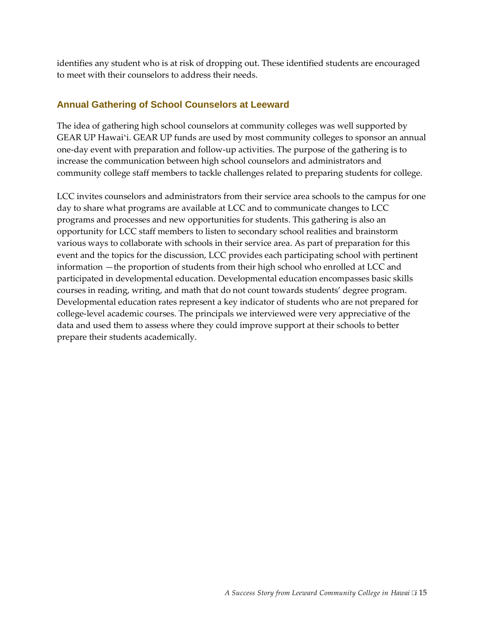identifies any student who is at risk of dropping out. These identified students are encouraged to meet with their counselors to address their needs.

#### <span id="page-22-0"></span>**Annual Gathering of School Counselors at Leeward**

The idea of gathering high school counselors at community colleges was well supported by GEAR UP Hawaiʻi. GEAR UP funds are used by most community colleges to sponsor an annual one-day event with preparation and follow-up activities. The purpose of the gathering is to increase the communication between high school counselors and administrators and community college staff members to tackle challenges related to preparing students for college.

LCC invites counselors and administrators from their service area schools to the campus for one day to share what programs are available at LCC and to communicate changes to LCC programs and processes and new opportunities for students. This gathering is also an opportunity for LCC staff members to listen to secondary school realities and brainstorm various ways to collaborate with schools in their service area. As part of preparation for this event and the topics for the discussion, LCC provides each participating school with pertinent information —the proportion of students from their high school who enrolled at LCC and participated in developmental education. Developmental education encompasses basic skills courses in reading, writing, and math that do not count towards students' degree program. Developmental education rates represent a key indicator of students who are not prepared for college-level academic courses. The principals we interviewed were very appreciative of the data and used them to assess where they could improve support at their schools to better prepare their students academically.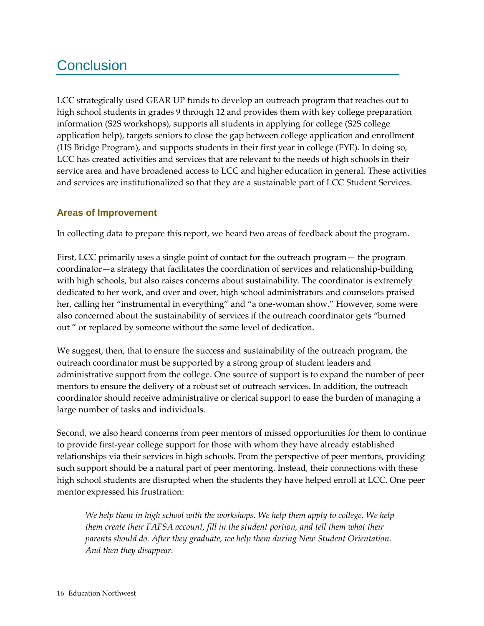## <span id="page-23-0"></span>**Conclusion**

LCC strategically used GEAR UP funds to develop an outreach program that reaches out to high school students in grades 9 through 12 and provides them with key college preparation information (S2S workshops), supports all students in applying for college (S2S college application help), targets seniors to close the gap between college application and enrollment (HS Bridge Program), and supports students in their first year in college (FYE). In doing so, LCC has created activities and services that are relevant to the needs of high schools in their service area and have broadened access to LCC and higher education in general. These activities and services are institutionalized so that they are a sustainable part of LCC Student Services.

### <span id="page-23-1"></span>**Areas of Improvement**

In collecting data to prepare this report, we heard two areas of feedback about the program.

First, LCC primarily uses a single point of contact for the outreach program— the program coordinator—a strategy that facilitates the coordination of services and relationship-building with high schools, but also raises concerns about sustainability. The coordinator is extremely dedicated to her work, and over and over, high school administrators and counselors praised her, calling her "instrumental in everything" and "a one-woman show." However, some were also concerned about the sustainability of services if the outreach coordinator gets "burned out " or replaced by someone without the same level of dedication.

We suggest, then, that to ensure the success and sustainability of the outreach program, the outreach coordinator must be supported by a strong group of student leaders and administrative support from the college. One source of support is to expand the number of peer mentors to ensure the delivery of a robust set of outreach services. In addition, the outreach coordinator should receive administrative or clerical support to ease the burden of managing a large number of tasks and individuals.

Second, we also heard concerns from peer mentors of missed opportunities for them to continue to provide first-year college support for those with whom they have already established relationships via their services in high schools. From the perspective of peer mentors, providing such support should be a natural part of peer mentoring. Instead, their connections with these high school students are disrupted when the students they have helped enroll at LCC. One peer mentor expressed his frustration:

*We help them in high school with the workshops. We help them apply to college. We help them create their FAFSA account, fill in the student portion, and tell them what their parents should do. After they graduate, we help them during New Student Orientation. And then they disappear.*